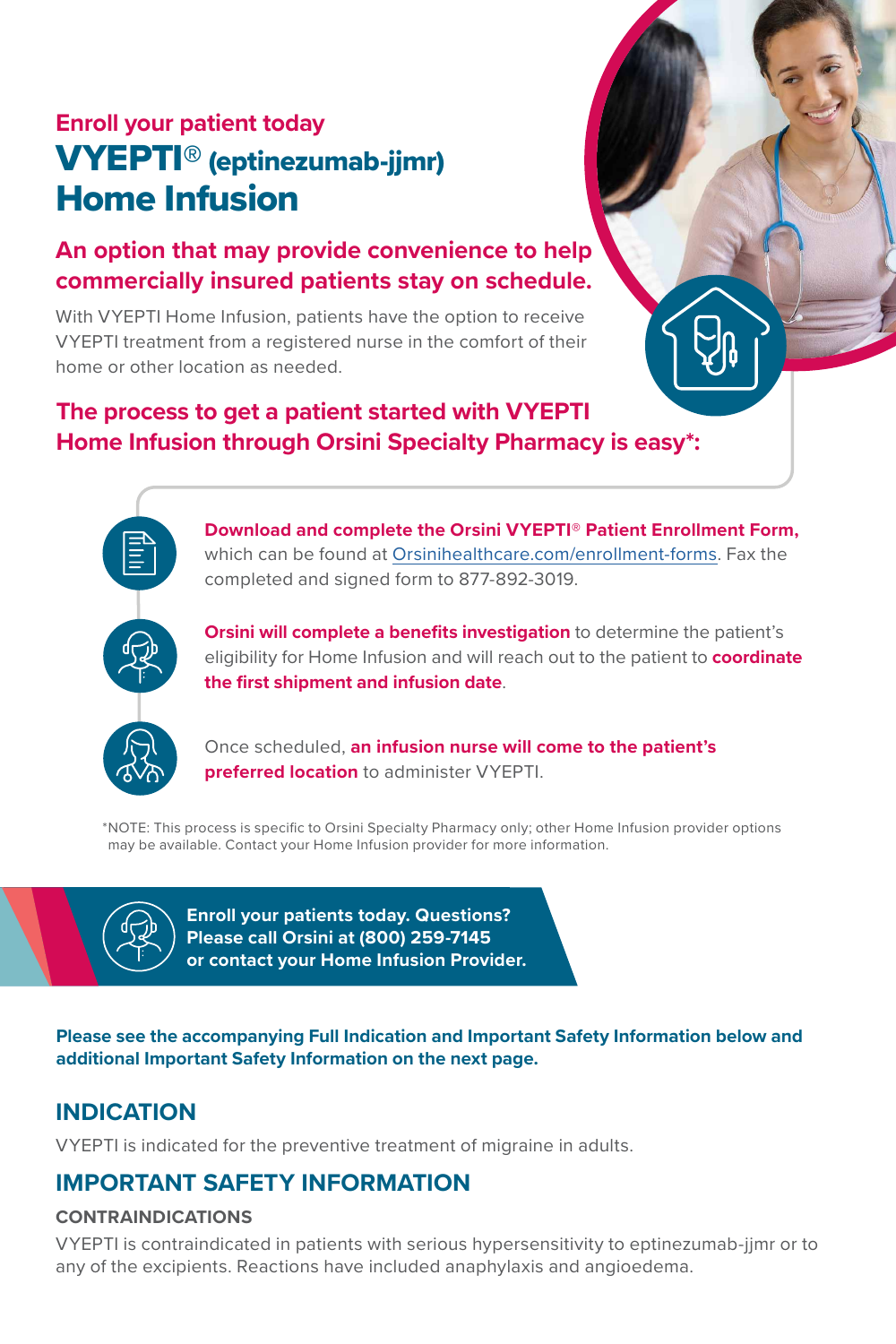# VYEPTI® (eptinezumab-jjmr) Home Infusion **Enroll your patient today**

## **An option that may provide convenience to help commercially insured patients stay on schedule.**

With VYEPTI Home Infusion, patients have the option to receive VYEPTI treatment from a registered nurse in the comfort of their home or other location as needed.

## **The process to get a patient started with VYEPTI Home Infusion through Orsini Specialty Pharmacy is easy\*:**



**Download and complete the Orsini VYEPTI® Patient Enrollment Form,** which can be found at [Orsinihealthcare.com/enrollment-forms.](https://www.orsinispecialtypharmacy.com/referral-forms) Fax the completed and signed form to 877-892-3019.

**Orsini will complete a benefits investigation** to determine the patient's eligibility for Home Infusion and will reach out to the patient to **coordinate the first shipment and infusion date**.



\*NOTE: This process is specific to Orsini Specialty Pharmacy only; other Home Infusion provider options may be available. Contact your Home Infusion provider for more information.



**Enroll your patients today. Questions? Please call Orsini at (800) 259-7145 or contact your Home Infusion Provider.**

**Please see the accompanying Full Indication and Important Safety Information below and additional Important Safety Information on the next page.**

## **INDICATION**

VYEPTI is indicated for the preventive treatment of migraine in adults.

## **IMPORTANT SAFETY INFORMATION**

### **CONTRAINDICATIONS**

VYEPTI is contraindicated in patients with serious hypersensitivity to eptinezumab-jjmr or to any of the excipients. Reactions have included anaphylaxis and angioedema.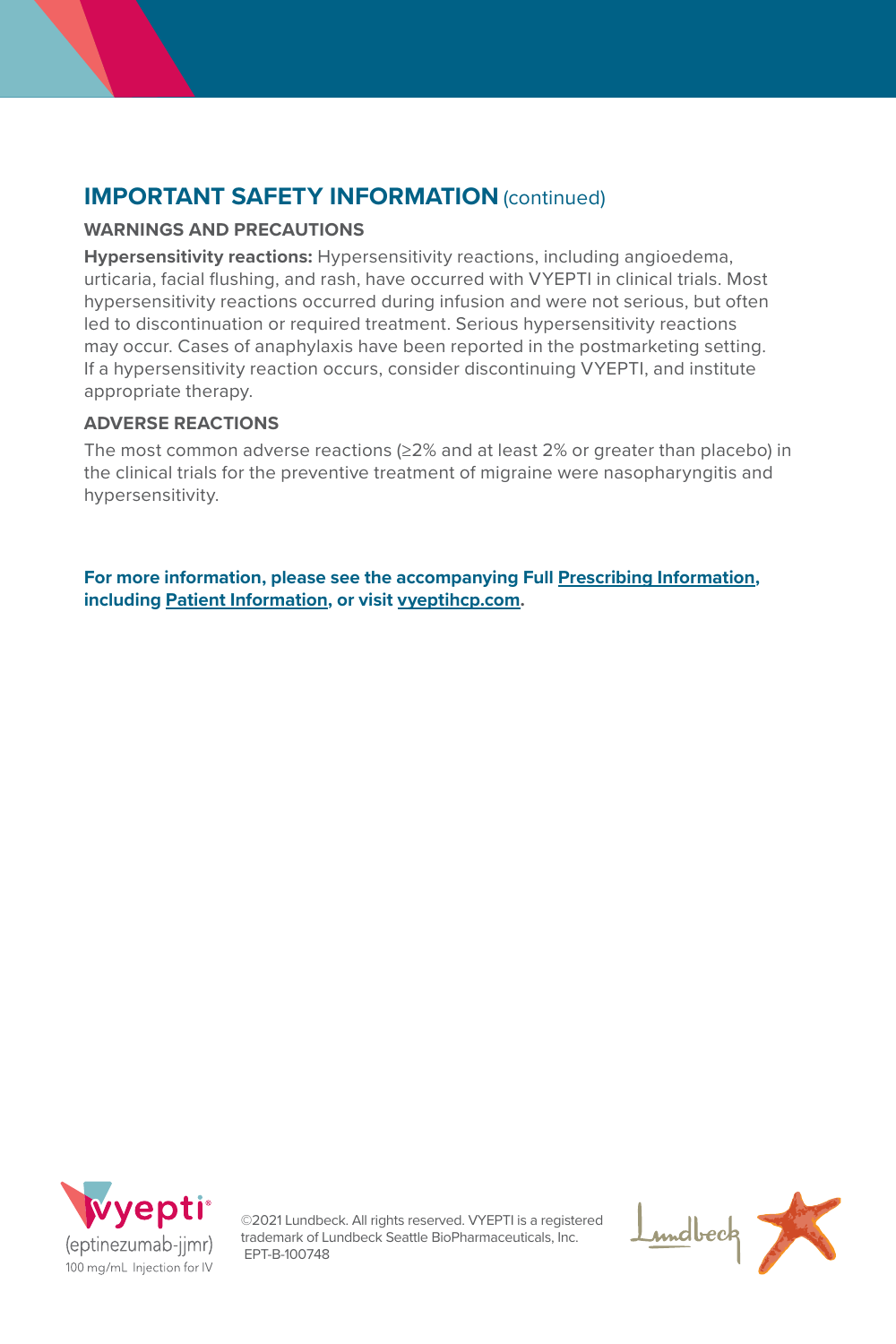## **IMPORTANT SAFETY INFORMATION** (continued)

### **WARNINGS AND PRECAUTIONS**

**Hypersensitivity reactions:** Hypersensitivity reactions, including angioedema, urticaria, facial flushing, and rash, have occurred with VYEPTI in clinical trials. Most hypersensitivity reactions occurred during infusion and were not serious, but often led to discontinuation or required treatment. Serious hypersensitivity reactions may occur. Cases of anaphylaxis have been reported in the postmarketing setting. If a hypersensitivity reaction occurs, consider discontinuing VYEPTI, and institute appropriate therapy.

### **ADVERSE REACTIONS**

The most common adverse reactions (≥2% and at least 2% or greater than placebo) in the clinical trials for the preventive treatment of migraine were nasopharyngitis and hypersensitivity.

**For more information, please see the accompanying Full [Prescribing Information](https://www.lundbeck.com/content/dam/lundbeck-com/americas/united-states/products/neurology/vyepti_pi_us_en.pdf), including [Patient Information](https://www.lundbeck.com/content/dam/lundbeck-com/americas/united-states/products/neurology/vyepti_ppi_us_en.pdf), or visit [vyeptihcp.com.](https://www.vyeptihcp.com/)**



©2021 Lundbeck. All rights reserved. VYEPTI is a registered trademark of Lundbeck Seattle BioPharmaceuticals, Inc. EPT-B-100748

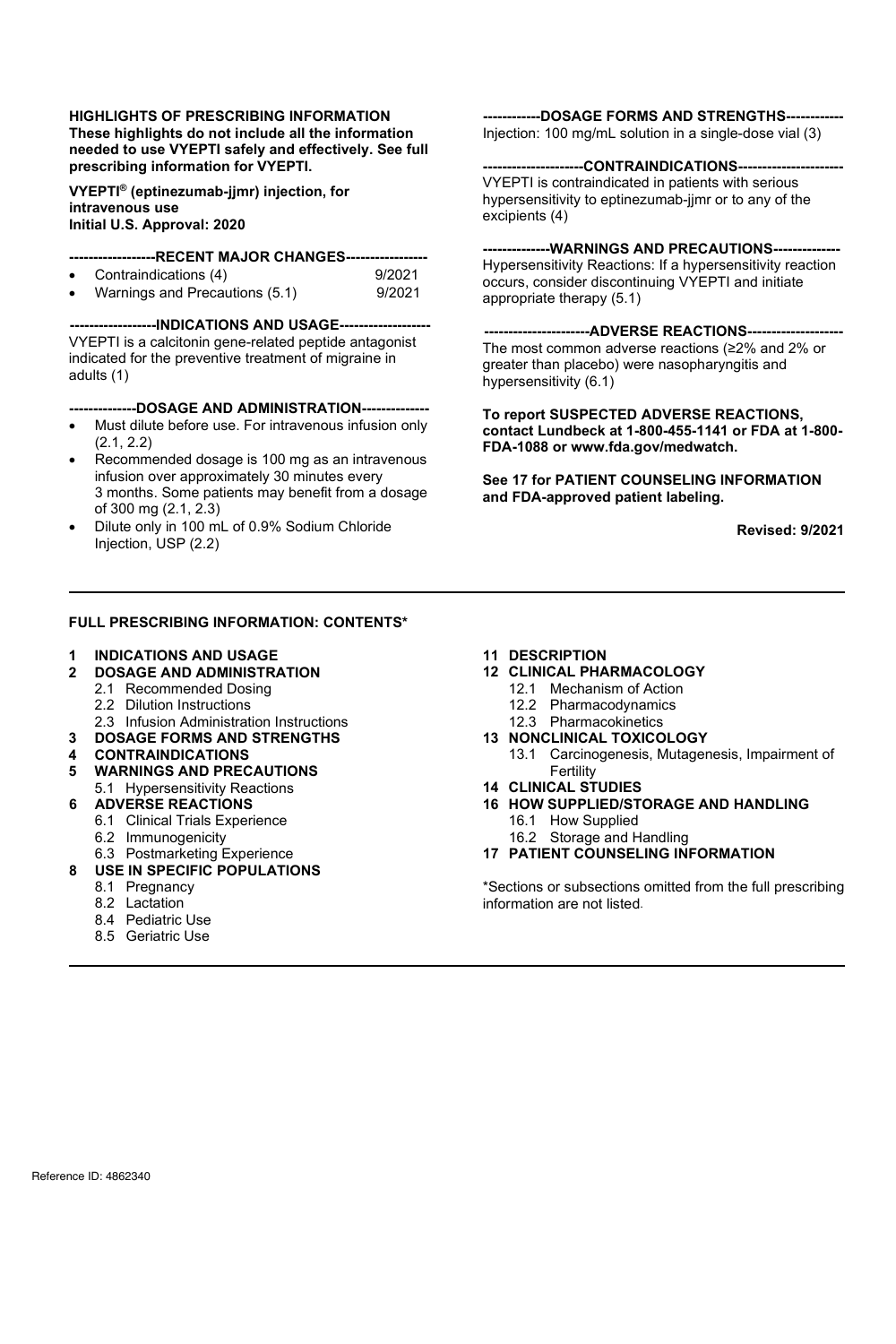#### **HIGHLIGHTS OF PRESCRIBING INFORMATION These highlights do not include all the information needed to use VYEPTI safely and effectively. See full prescribing information for VYEPTI.**

**VYEPTI® (eptinezumab-jjmr) injection, for intravenous use Initial U.S. Approval: 2020**

## **------------------RECENT MAJOR CHANGES-----------------**

- Contraindications (4) 9/2021
- Warnings and Precautions (5.1)

**------------------INDICATIONS AND USAGE-------------------** VYEPTI is a calcitonin gene-related peptide antagonist indicated for the preventive treatment of migraine in adults (1)

#### **--------------DOSAGE AND ADMINISTRATION--------------**

- Must dilute before use. For intravenous infusion only (2.1, 2.2)
- Recommended dosage is 100 mg as an intravenous infusion over approximately 30 minutes every 3 months. Some patients may benefit from a dosage of 300 mg (2.1, 2.3)
- Dilute only in 100 mL of 0.9% Sodium Chloride Injection, USP (2.2)

#### **FULL PRESCRIBING INFORMATION: CONTENTS\***

## **1 INDICATIONS AND USAGE**

- **2 DOSAGE AND ADMINISTRATION**
	- 2.1 Recommended Dosing
	- 2.2 Dilution Instructions
- 2.3 Infusion Administration Instructions
- **3 DOSAGE FORMS AND STRENGTHS**
- **4 CONTRAINDICATIONS**
- **5 WARNINGS AND PRECAUTIONS**
	- 5.1 Hypersensitivity Reactions
- **6 ADVERSE REACTIONS**
	- 6.1 Clinical Trials Experience
	- 6.2 Immunogenicity
	- 6.3 Postmarketing Experience
- **8 USE IN SPECIFIC POPULATIONS**
	- 8.1 Pregnancy
		- 8.2 Lactation
		- 8.4 Pediatric Use
		- 8.5 Geriatric Use

**------------DOSAGE FORMS AND STRENGTHS------------** Injection: 100 mg/mL solution in a single-dose vial (3)

#### -CONTRAINDICATIONS---

VYEPTI is contraindicated in patients with serious hypersensitivity to eptinezumab-jjmr or to any of the excipients (4)

### ---WARNINGS AND PRECAUTIONS---

Hypersensitivity Reactions: If a hypersensitivity reaction occurs, consider discontinuing VYEPTI and initiate appropriate therapy (5.1)

**----------------------ADVERSE REACTIONS--------------------** The most common adverse reactions (≥2% and 2% or greater than placebo) were nasopharyngitis and hypersensitivity (6.1)

**To report SUSPECTED ADVERSE REACTIONS, contact Lundbeck at 1-800-455-1141 or FDA at 1-800- FDA-1088 or www.fda.gov/medwatch.**

**See 17 for PATIENT COUNSELING INFORMATION and FDA-approved patient labeling.**

**Revised: 9/2021**

#### **11 DESCRIPTION**

- **12 CLINICAL PHARMACOLOGY**
	- 12.1 Mechanism of Action
	- 12.2 Pharmacodynamics
	- 12.3 Pharmacokinetics
- **13 NONCLINICAL TOXICOLOGY**
	- 13.1 Carcinogenesis, Mutagenesis, Impairment of Fertility
- **14 CLINICAL STUDIES**
- **16 HOW SUPPLIED/STORAGE AND HANDLING** 16.1 How Supplied
	- 16.2 Storage and Handling
- **17 PATIENT COUNSELING INFORMATION**

\*Sections or subsections omitted from the full prescribing information are not listed.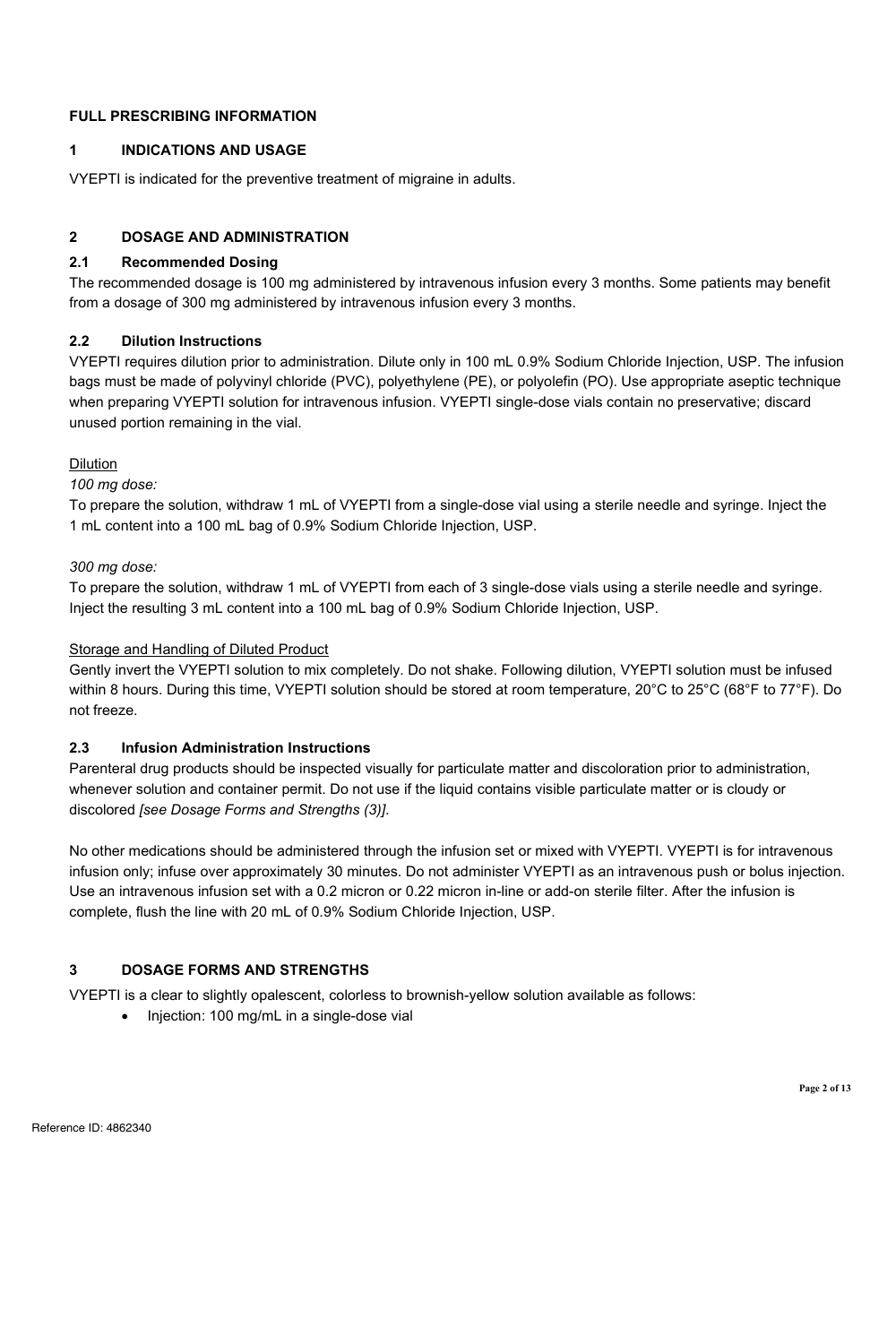#### **FULL PRESCRIBING INFORMATION**

#### **1 INDICATIONS AND USAGE**

VYEPTI is indicated for the preventive treatment of migraine in adults.

#### **2 DOSAGE AND ADMINISTRATION**

#### **2.1 Recommended Dosing**

The recommended dosage is 100 mg administered by intravenous infusion every 3 months. Some patients may benefit from a dosage of 300 mg administered by intravenous infusion every 3 months.

#### **2.2 Dilution Instructions**

VYEPTI requires dilution prior to administration. Dilute only in 100 mL 0.9% Sodium Chloride Injection, USP. The infusion bags must be made of polyvinyl chloride (PVC), polyethylene (PE), or polyolefin (PO). Use appropriate aseptic technique when preparing VYEPTI solution for intravenous infusion. VYEPTI single-dose vials contain no preservative; discard unused portion remaining in the vial.

#### Dilution

*100 mg dose:*

To prepare the solution, withdraw 1 mL of VYEPTI from a single-dose vial using a sterile needle and syringe. Inject the 1 mL content into a 100 mL bag of 0.9% Sodium Chloride Injection, USP.

#### *300 mg dose:*

To prepare the solution, withdraw 1 mL of VYEPTI from each of 3 single-dose vials using a sterile needle and syringe. Inject the resulting 3 mL content into a 100 mL bag of 0.9% Sodium Chloride Injection, USP.

#### Storage and Handling of Diluted Product

Gently invert the VYEPTI solution to mix completely. Do not shake. Following dilution, VYEPTI solution must be infused within 8 hours. During this time, VYEPTI solution should be stored at room temperature, 20°C to 25°C (68°F to 77°F). Do not freeze.

#### **2.3 Infusion Administration Instructions**

Parenteral drug products should be inspected visually for particulate matter and discoloration prior to administration, whenever solution and container permit. Do not use if the liquid contains visible particulate matter or is cloudy or discolored *[see Dosage Forms and Strengths (3)]*.

No other medications should be administered through the infusion set or mixed with VYEPTI. VYEPTI is for intravenous infusion only; infuse over approximately 30 minutes. Do not administer VYEPTI as an intravenous push or bolus injection. Use an intravenous infusion set with a 0.2 micron or 0.22 micron in-line or add-on sterile filter. After the infusion is complete, flush the line with 20 mL of 0.9% Sodium Chloride Injection, USP.

### **3 DOSAGE FORMS AND STRENGTHS**

VYEPTI is a clear to slightly opalescent, colorless to brownish-yellow solution available as follows:

• Injection: 100 mg/mL in a single-dose vial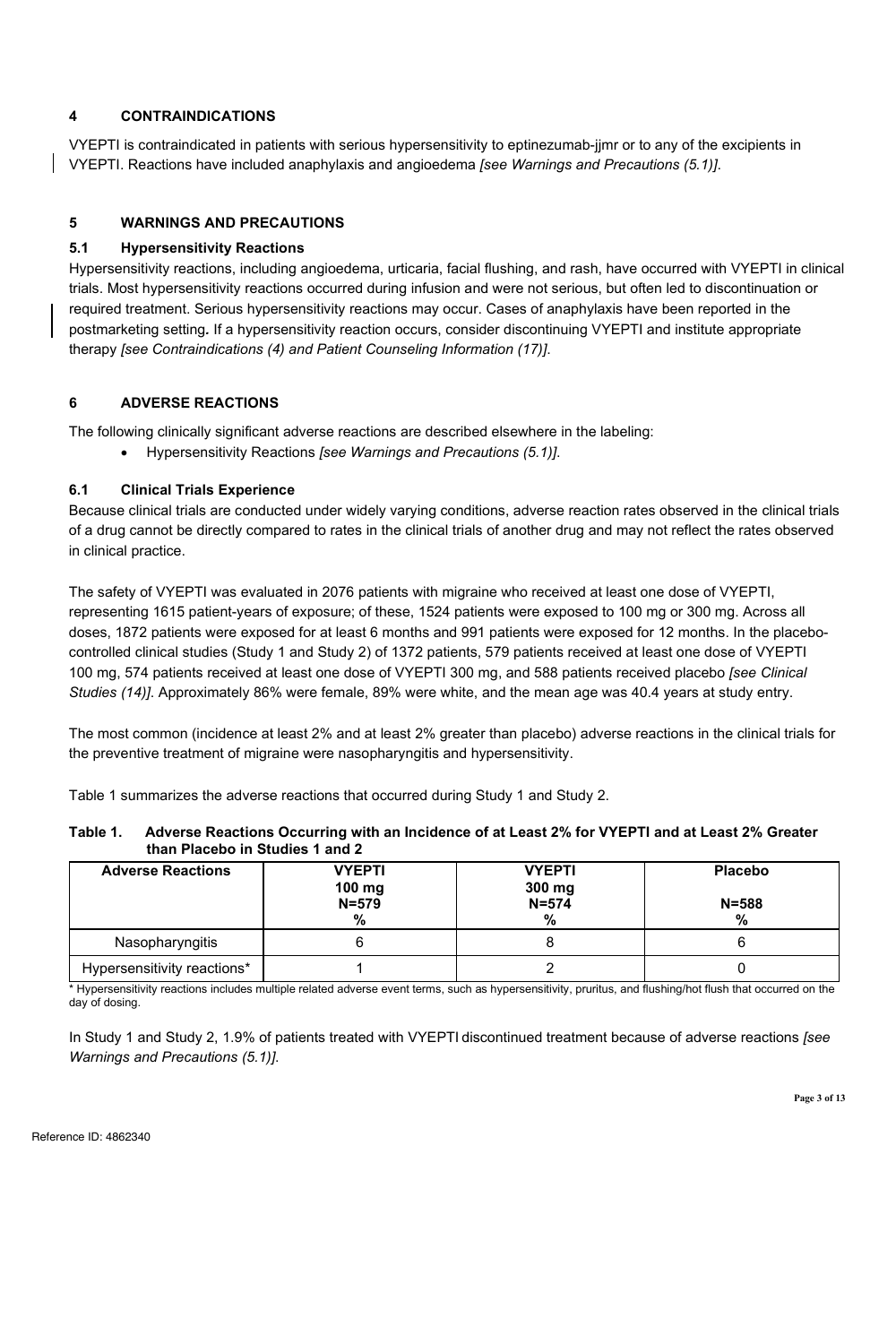#### **4 CONTRAINDICATIONS**

VYEPTI is contraindicated in patients with serious hypersensitivity to eptinezumab-jjmr or to any of the excipients in VYEPTI. Reactions have included anaphylaxis and angioedema *[see Warnings and Precautions (5.1)]*.

#### **5 WARNINGS AND PRECAUTIONS**

#### **5.1 Hypersensitivity Reactions**

Hypersensitivity reactions, including angioedema, urticaria, facial flushing, and rash, have occurred with VYEPTI in clinical trials. Most hypersensitivity reactions occurred during infusion and were not serious, but often led to discontinuation or required treatment. Serious hypersensitivity reactions may occur. Cases of anaphylaxis have been reported in the postmarketing setting*.* If a hypersensitivity reaction occurs, consider discontinuing VYEPTI and institute appropriate therapy *[see Contraindications (4) and Patient Counseling Information (17)]*.

#### **6 ADVERSE REACTIONS**

The following clinically significant adverse reactions are described elsewhere in the labeling:

• Hypersensitivity Reactions *[see Warnings and Precautions (5.1)]*.

#### **6.1 Clinical Trials Experience**

Because clinical trials are conducted under widely varying conditions, adverse reaction rates observed in the clinical trials of a drug cannot be directly compared to rates in the clinical trials of another drug and may not reflect the rates observed in clinical practice.

The safety of VYEPTI was evaluated in 2076 patients with migraine who received at least one dose of VYEPTI, representing 1615 patient-years of exposure; of these, 1524 patients were exposed to 100 mg or 300 mg. Across all doses, 1872 patients were exposed for at least 6 months and 991 patients were exposed for 12 months. In the placebocontrolled clinical studies (Study 1 and Study 2) of 1372 patients, 579 patients received at least one dose of VYEPTI 100 mg, 574 patients received at least one dose of VYEPTI 300 mg, and 588 patients received placebo *[see Clinical Studies (14)]*. Approximately 86% were female, 89% were white, and the mean age was 40.4 years at study entry.

The most common (incidence at least 2% and at least 2% greater than placebo) adverse reactions in the clinical trials for the preventive treatment of migraine were nasopharyngitis and hypersensitivity.

Table 1 summarizes the adverse reactions that occurred during Study 1 and Study 2.

| Table 1. | Adverse Reactions Occurring with an Incidence of at Least 2% for VYEPTI and at Least 2% Greater |
|----------|-------------------------------------------------------------------------------------------------|
|          | than Placebo in Studies 1 and 2                                                                 |

| <b>Adverse Reactions</b>    | <b>VYEPTI</b><br>$100 \text{ mg}$<br>$N = 579$ | <b>VYEPTI</b><br>300 mg<br>$N = 574$ | Placebo<br>$N = 588$ |
|-----------------------------|------------------------------------------------|--------------------------------------|----------------------|
|                             | %                                              | %                                    | ℅                    |
| Nasopharyngitis             |                                                |                                      |                      |
| Hypersensitivity reactions* |                                                |                                      |                      |

\* Hypersensitivity reactions includes multiple related adverse event terms, such as hypersensitivity, pruritus, and flushing/hot flush that occurred on the day of dosing.

In Study 1 and Study 2, 1.9% of patients treated with VYEPTI discontinued treatment because of adverse reactions *[see Warnings and Precautions (5.1)]*.

**Page 3 of 13**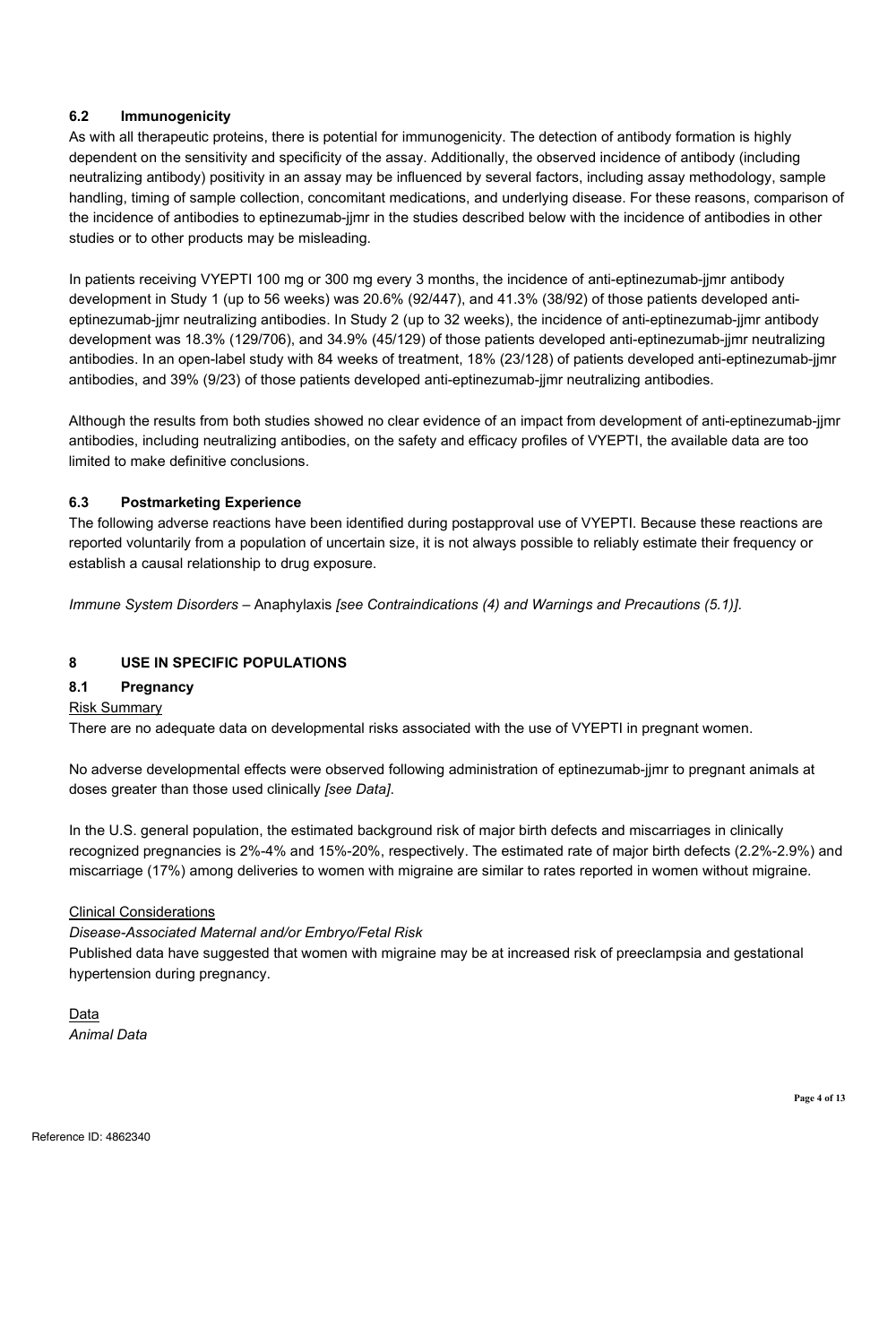#### **6.2 Immunogenicity**

As with all therapeutic proteins, there is potential for immunogenicity. The detection of antibody formation is highly dependent on the sensitivity and specificity of the assay. Additionally, the observed incidence of antibody (including neutralizing antibody) positivity in an assay may be influenced by several factors, including assay methodology, sample handling, timing of sample collection, concomitant medications, and underlying disease. For these reasons, comparison of the incidence of antibodies to eptinezumab-jjmr in the studies described below with the incidence of antibodies in other studies or to other products may be misleading.

In patients receiving VYEPTI 100 mg or 300 mg every 3 months, the incidence of anti-eptinezumab-jjmr antibody development in Study 1 (up to 56 weeks) was 20.6% (92/447), and 41.3% (38/92) of those patients developed antieptinezumab-jjmr neutralizing antibodies. In Study 2 (up to 32 weeks), the incidence of anti-eptinezumab-jjmr antibody development was 18.3% (129/706), and 34.9% (45/129) of those patients developed anti-eptinezumab-jjmr neutralizing antibodies. In an open-label study with 84 weeks of treatment, 18% (23/128) of patients developed anti-eptinezumab-jjmr antibodies, and 39% (9/23) of those patients developed anti-eptinezumab-jjmr neutralizing antibodies.

Although the results from both studies showed no clear evidence of an impact from development of anti-eptinezumab-jjmr antibodies, including neutralizing antibodies, on the safety and efficacy profiles of VYEPTI, the available data are too limited to make definitive conclusions.

#### **6.3 Postmarketing Experience**

The following adverse reactions have been identified during postapproval use of VYEPTI. Because these reactions are reported voluntarily from a population of uncertain size, it is not always possible to reliably estimate their frequency or establish a causal relationship to drug exposure.

*Immune System Disorders –* Anaphylaxis *[see Contraindications (4) and Warnings and Precautions (5.1)]*.

#### **8 USE IN SPECIFIC POPULATIONS**

#### **8.1 Pregnancy**

#### Risk Summary

There are no adequate data on developmental risks associated with the use of VYEPTI in pregnant women.

No adverse developmental effects were observed following administration of eptinezumab-jjmr to pregnant animals at doses greater than those used clinically *[see Data]*.

In the U.S. general population, the estimated background risk of major birth defects and miscarriages in clinically recognized pregnancies is 2%-4% and 15%-20%, respectively. The estimated rate of major birth defects (2.2%-2.9%) and miscarriage (17%) among deliveries to women with migraine are similar to rates reported in women without migraine.

#### Clinical Considerations

#### *Disease-Associated Maternal and/or Embryo/Fetal Risk*

Published data have suggested that women with migraine may be at increased risk of preeclampsia and gestational hypertension during pregnancy.

Data *Animal Data*

**Page 4 of 13**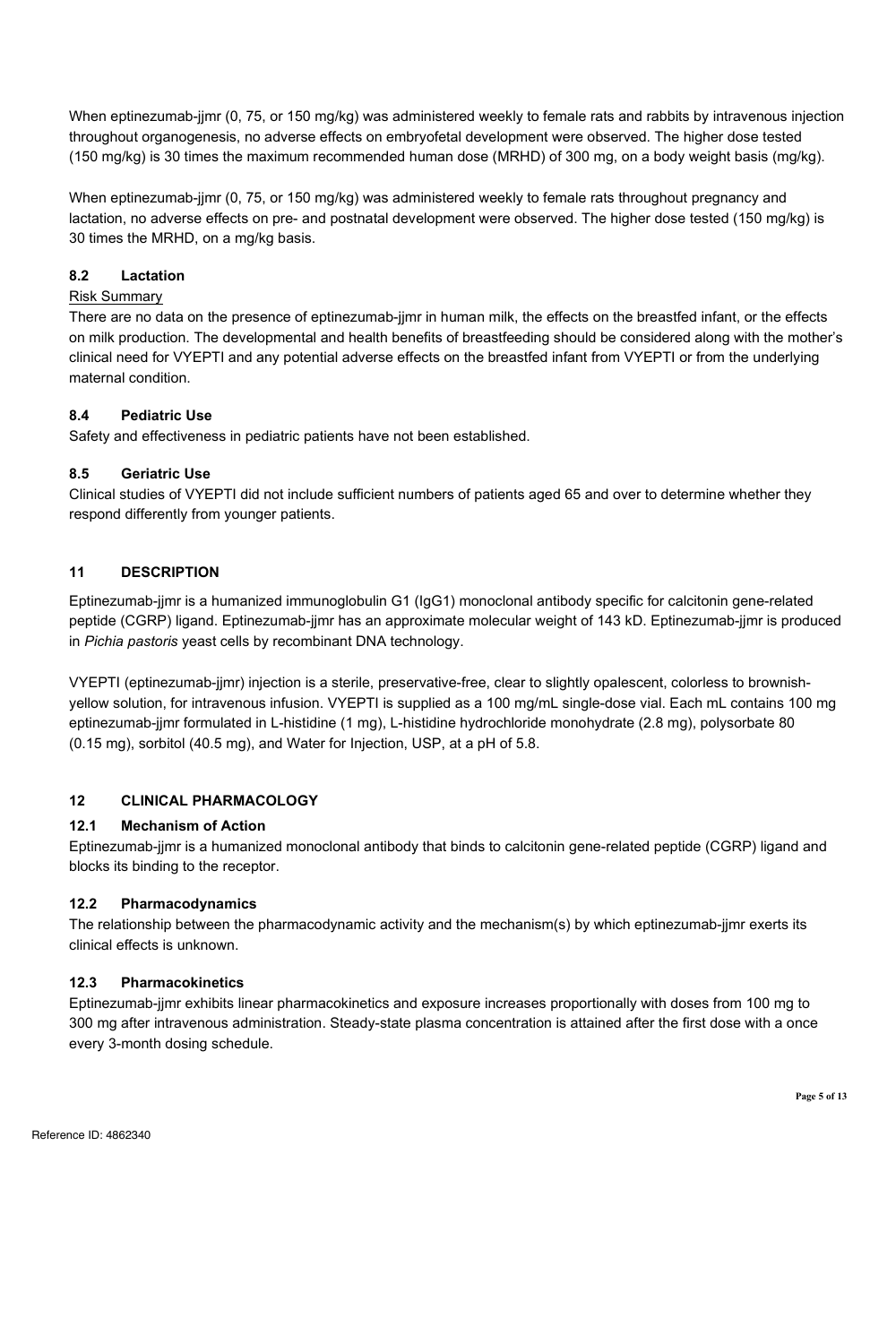When eptinezumab-jjmr (0, 75, or 150 mg/kg) was administered weekly to female rats and rabbits by intravenous injection throughout organogenesis, no adverse effects on embryofetal development were observed. The higher dose tested (150 mg/kg) is 30 times the maximum recommended human dose (MRHD) of 300 mg, on a body weight basis (mg/kg).

When eptinezumab-jjmr (0, 75, or 150 mg/kg) was administered weekly to female rats throughout pregnancy and lactation, no adverse effects on pre- and postnatal development were observed. The higher dose tested (150 mg/kg) is 30 times the MRHD, on a mg/kg basis.

#### **8.2 Lactation**

#### Risk Summary

There are no data on the presence of eptinezumab-jjmr in human milk, the effects on the breastfed infant, or the effects on milk production. The developmental and health benefits of breastfeeding should be considered along with the mother's clinical need for VYEPTI and any potential adverse effects on the breastfed infant from VYEPTI or from the underlying maternal condition.

#### **8.4 Pediatric Use**

Safety and effectiveness in pediatric patients have not been established.

#### **8.5 Geriatric Use**

Clinical studies of VYEPTI did not include sufficient numbers of patients aged 65 and over to determine whether they respond differently from younger patients.

#### **11 DESCRIPTION**

Eptinezumab-jjmr is a humanized immunoglobulin G1 (IgG1) monoclonal antibody specific for calcitonin gene-related peptide (CGRP) ligand. Eptinezumab-jjmr has an approximate molecular weight of 143 kD. Eptinezumab-jjmr is produced in *Pichia pastoris* yeast cells by recombinant DNA technology.

VYEPTI (eptinezumab-jjmr) injection is a sterile, preservative-free, clear to slightly opalescent, colorless to brownishyellow solution, for intravenous infusion. VYEPTI is supplied as a 100 mg/mL single-dose vial. Each mL contains 100 mg eptinezumab-jjmr formulated in L-histidine (1 mg), L-histidine hydrochloride monohydrate (2.8 mg), polysorbate 80 (0.15 mg), sorbitol (40.5 mg), and Water for Injection, USP, at a pH of 5.8.

#### **12 CLINICAL PHARMACOLOGY**

#### **12.1 Mechanism of Action**

Eptinezumab-jjmr is a humanized monoclonal antibody that binds to calcitonin gene-related peptide (CGRP) ligand and blocks its binding to the receptor.

#### **12.2 Pharmacodynamics**

The relationship between the pharmacodynamic activity and the mechanism(s) by which eptinezumab-jjmr exerts its clinical effects is unknown.

#### **12.3 Pharmacokinetics**

Eptinezumab-jjmr exhibits linear pharmacokinetics and exposure increases proportionally with doses from 100 mg to 300 mg after intravenous administration. Steady-state plasma concentration is attained after the first dose with a once every 3-month dosing schedule.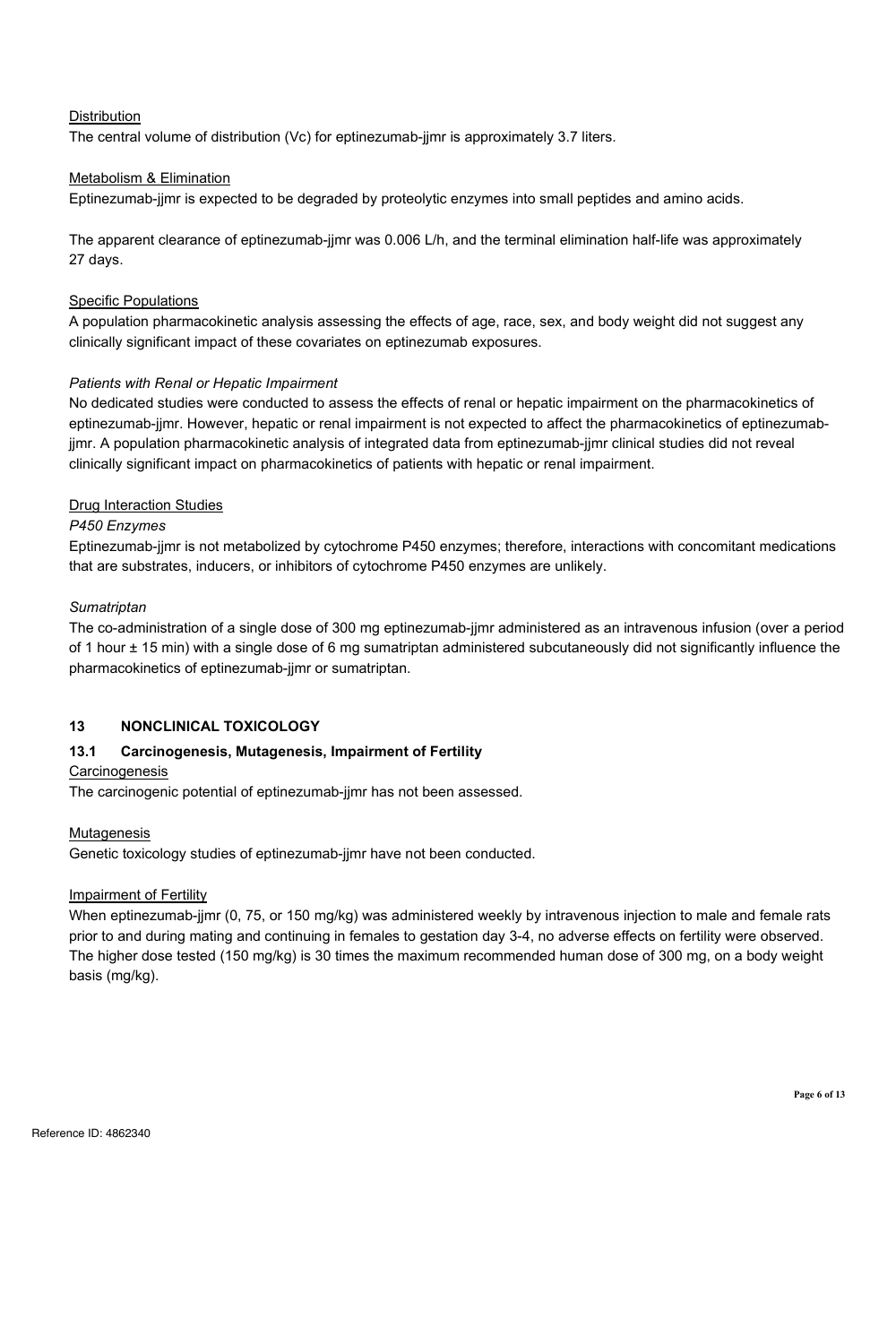#### Distribution

The central volume of distribution (Vc) for eptinezumab-jjmr is approximately 3.7 liters.

#### Metabolism & Elimination

Eptinezumab-jjmr is expected to be degraded by proteolytic enzymes into small peptides and amino acids.

The apparent clearance of eptinezumab-jjmr was 0.006 L/h, and the terminal elimination half-life was approximately 27 days.

#### **Specific Populations**

A population pharmacokinetic analysis assessing the effects of age, race, sex, and body weight did not suggest any clinically significant impact of these covariates on eptinezumab exposures.

#### *Patients with Renal or Hepatic Impairment*

No dedicated studies were conducted to assess the effects of renal or hepatic impairment on the pharmacokinetics of eptinezumab-jjmr. However, hepatic or renal impairment is not expected to affect the pharmacokinetics of eptinezumabjjmr. A population pharmacokinetic analysis of integrated data from eptinezumab-jjmr clinical studies did not reveal clinically significant impact on pharmacokinetics of patients with hepatic or renal impairment.

#### Drug Interaction Studies

#### *P450 Enzymes*

Eptinezumab-jjmr is not metabolized by cytochrome P450 enzymes; therefore, interactions with concomitant medications that are substrates, inducers, or inhibitors of cytochrome P450 enzymes are unlikely.

#### *Sumatriptan*

The co-administration of a single dose of 300 mg eptinezumab-jjmr administered as an intravenous infusion (over a period of 1 hour ± 15 min) with a single dose of 6 mg sumatriptan administered subcutaneously did not significantly influence the pharmacokinetics of eptinezumab-jjmr or sumatriptan.

#### **13 NONCLINICAL TOXICOLOGY**

#### **13.1 Carcinogenesis, Mutagenesis, Impairment of Fertility**

#### **Carcinogenesis**

The carcinogenic potential of eptinezumab-jjmr has not been assessed.

#### **Mutagenesis**

Genetic toxicology studies of eptinezumab-jjmr have not been conducted.

#### Impairment of Fertility

When eptinezumab-jjmr (0, 75, or 150 mg/kg) was administered weekly by intravenous injection to male and female rats prior to and during mating and continuing in females to gestation day 3-4, no adverse effects on fertility were observed. The higher dose tested (150 mg/kg) is 30 times the maximum recommended human dose of 300 mg, on a body weight basis (mg/kg).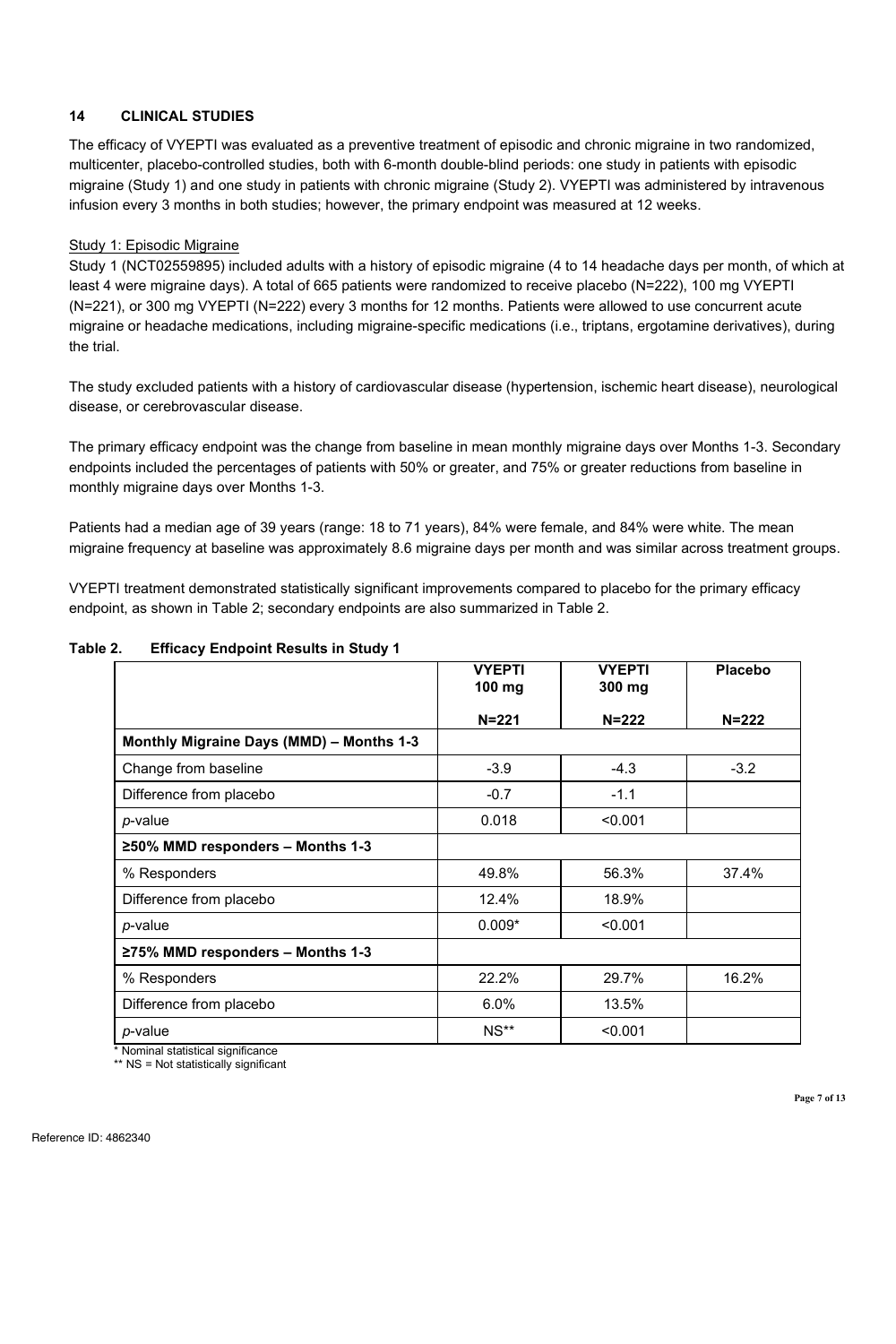#### **14 CLINICAL STUDIES**

The efficacy of VYEPTI was evaluated as a preventive treatment of episodic and chronic migraine in two randomized, multicenter, placebo-controlled studies, both with 6-month double-blind periods: one study in patients with episodic migraine (Study 1) and one study in patients with chronic migraine (Study 2). VYEPTI was administered by intravenous infusion every 3 months in both studies; however, the primary endpoint was measured at 12 weeks.

#### Study 1: Episodic Migraine

Study 1 (NCT02559895) included adults with a history of episodic migraine (4 to 14 headache days per month, of which at least 4 were migraine days). A total of 665 patients were randomized to receive placebo (N=222), 100 mg VYEPTI (N=221), or 300 mg VYEPTI (N=222) every 3 months for 12 months. Patients were allowed to use concurrent acute migraine or headache medications, including migraine-specific medications (i.e., triptans, ergotamine derivatives), during the trial.

The study excluded patients with a history of cardiovascular disease (hypertension, ischemic heart disease), neurological disease, or cerebrovascular disease.

The primary efficacy endpoint was the change from baseline in mean monthly migraine days over Months 1-3. Secondary endpoints included the percentages of patients with 50% or greater, and 75% or greater reductions from baseline in monthly migraine days over Months 1-3.

Patients had a median age of 39 years (range: 18 to 71 years), 84% were female, and 84% were white. The mean migraine frequency at baseline was approximately 8.6 migraine days per month and was similar across treatment groups.

VYEPTI treatment demonstrated statistically significant improvements compared to placebo for the primary efficacy endpoint, as shown in Table 2; secondary endpoints are also summarized in Table 2.

|                                                | <b>VYEPTI</b><br>$100 \text{ mg}$ | <b>VYEPTI</b><br>300 mg | Placebo   |
|------------------------------------------------|-----------------------------------|-------------------------|-----------|
|                                                | $N = 221$                         | $N = 222$               | $N = 222$ |
| Monthly Migraine Days (MMD) - Months 1-3       |                                   |                         |           |
| Change from baseline                           | $-3.9$                            | $-4.3$                  | $-3.2$    |
| Difference from placebo                        | $-0.7$                            | $-1.1$                  |           |
| p-value                                        | 0.018                             | < 0.001                 |           |
| ≥50% MMD responders - Months 1-3               |                                   |                         |           |
| % Responders                                   | 49.8%                             | 56.3%                   | 37.4%     |
| Difference from placebo                        | 12.4%                             | 18.9%                   |           |
| p-value                                        | $0.009*$                          | < 0.001                 |           |
| ≥75% MMD responders - Months 1-3               |                                   |                         |           |
| % Responders                                   | 22.2%                             | 29.7%                   | 16.2%     |
| Difference from placebo                        | 6.0%                              | 13.5%                   |           |
| p-value<br>新 おまい しょうしょうしょう こうけい けいしょうしょう こうだいし | $NS**$                            | < 0.001                 |           |

#### **Table 2. Efficacy Endpoint Results in Study 1**

\* Nominal statistical significance \*\* NS = Not statistically significant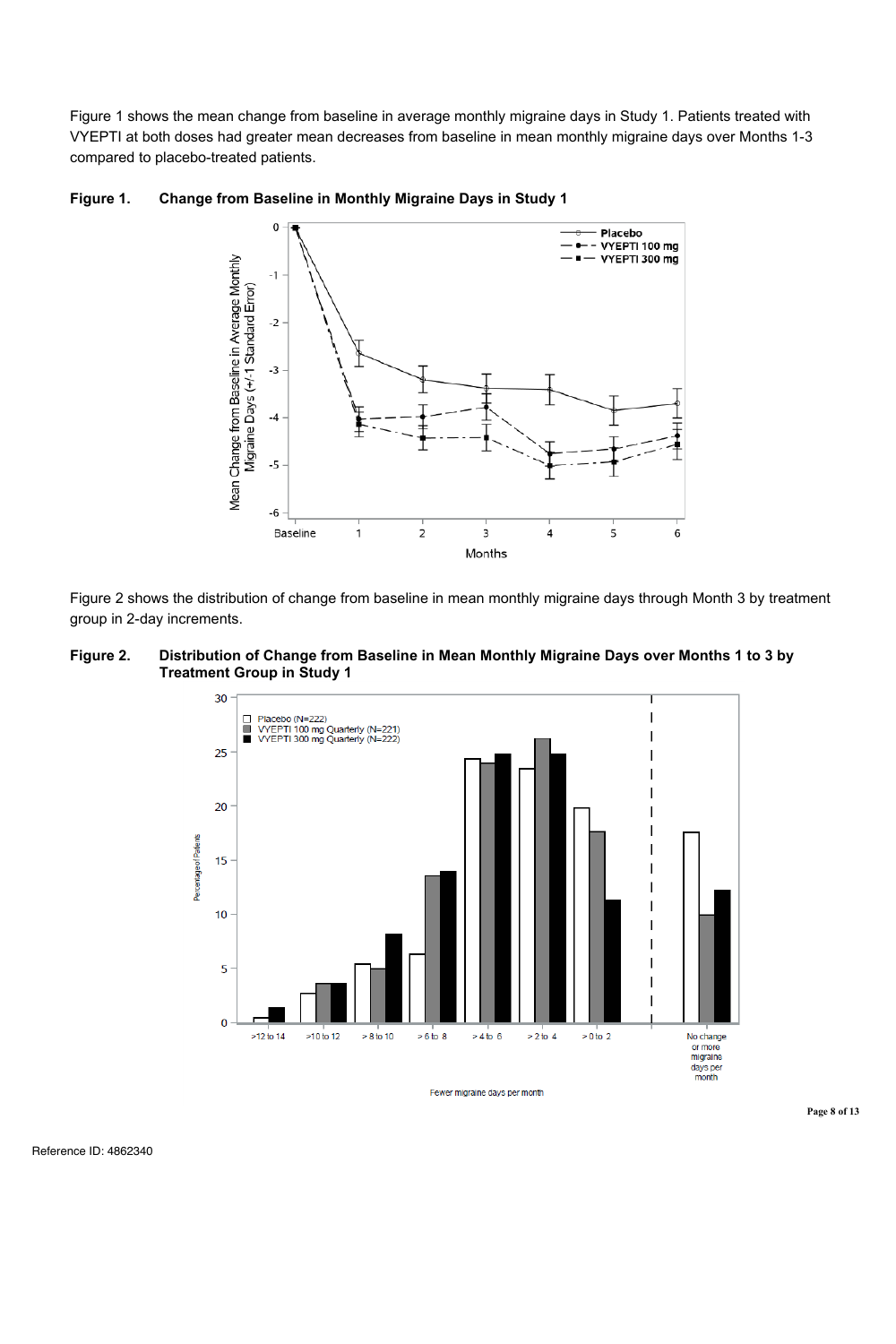Figure 1 shows the mean change from baseline in average monthly migraine days in Study 1. Patients treated with VYEPTI at both doses had greater mean decreases from baseline in mean monthly migraine days over Months 1-3 compared to placebo-treated patients.





Figure 2 shows the distribution of change from baseline in mean monthly migraine days through Month 3 by treatment group in 2-day increments.



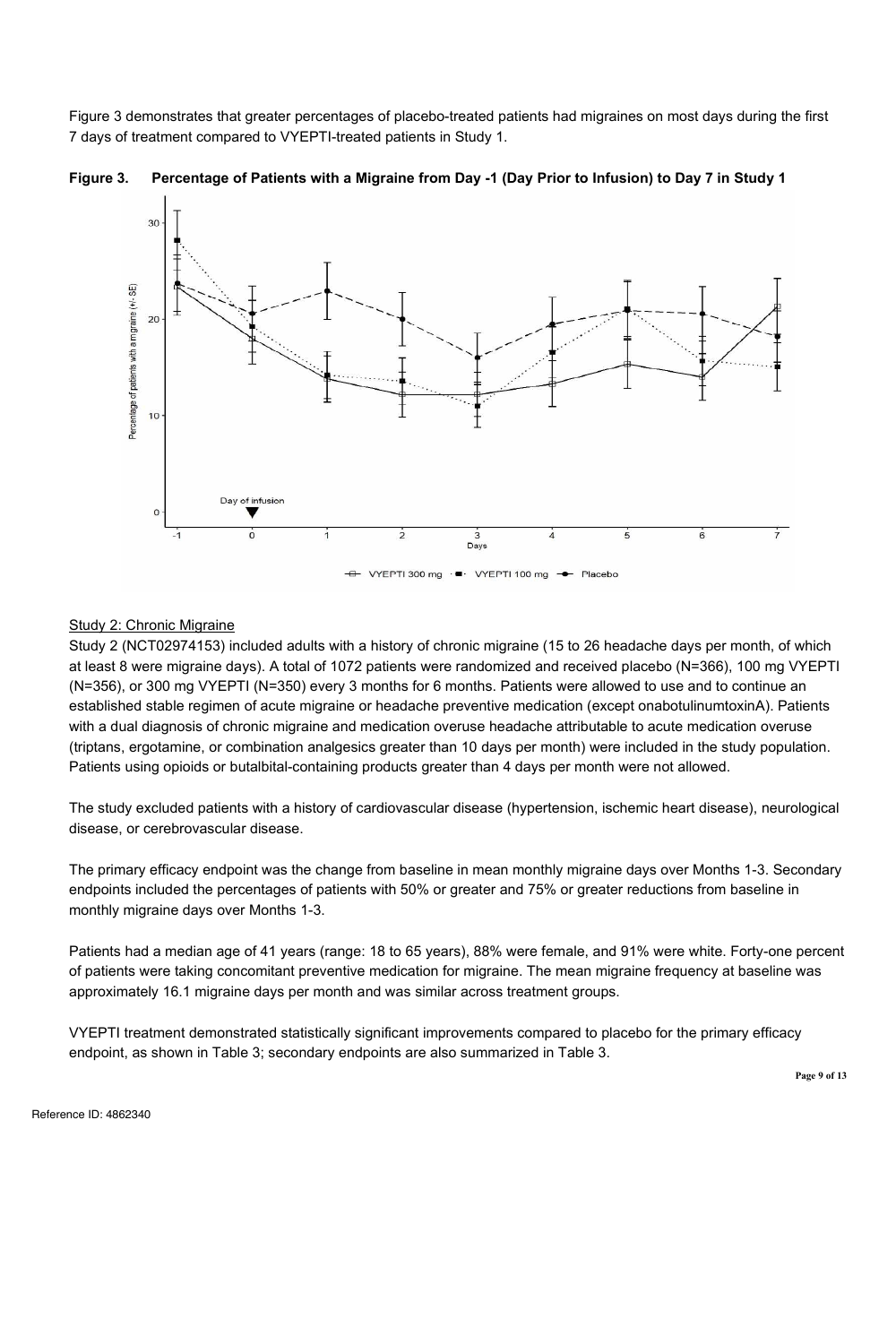Figure 3 demonstrates that greater percentages of placebo-treated patients had migraines on most days during the first 7 days of treatment compared to VYEPTI-treated patients in Study 1.





### Study 2: Chronic Migraine

Study 2 (NCT02974153) included adults with a history of chronic migraine (15 to 26 headache days per month, of which at least 8 were migraine days). A total of 1072 patients were randomized and received placebo (N=366), 100 mg VYEPTI (N=356), or 300 mg VYEPTI (N=350) every 3 months for 6 months. Patients were allowed to use and to continue an established stable regimen of acute migraine or headache preventive medication (except onabotulinumtoxinA). Patients with a dual diagnosis of chronic migraine and medication overuse headache attributable to acute medication overuse (triptans, ergotamine, or combination analgesics greater than 10 days per month) were included in the study population. Patients using opioids or butalbital-containing products greater than 4 days per month were not allowed.

The study excluded patients with a history of cardiovascular disease (hypertension, ischemic heart disease), neurological disease, or cerebrovascular disease.

The primary efficacy endpoint was the change from baseline in mean monthly migraine days over Months 1-3. Secondary endpoints included the percentages of patients with 50% or greater and 75% or greater reductions from baseline in monthly migraine days over Months 1-3.

Patients had a median age of 41 years (range: 18 to 65 years), 88% were female, and 91% were white. Forty-one percent of patients were taking concomitant preventive medication for migraine. The mean migraine frequency at baseline was approximately 16.1 migraine days per month and was similar across treatment groups.

VYEPTI treatment demonstrated statistically significant improvements compared to placebo for the primary efficacy endpoint, as shown in Table 3; secondary endpoints are also summarized in Table 3.

**Page 9 of 13**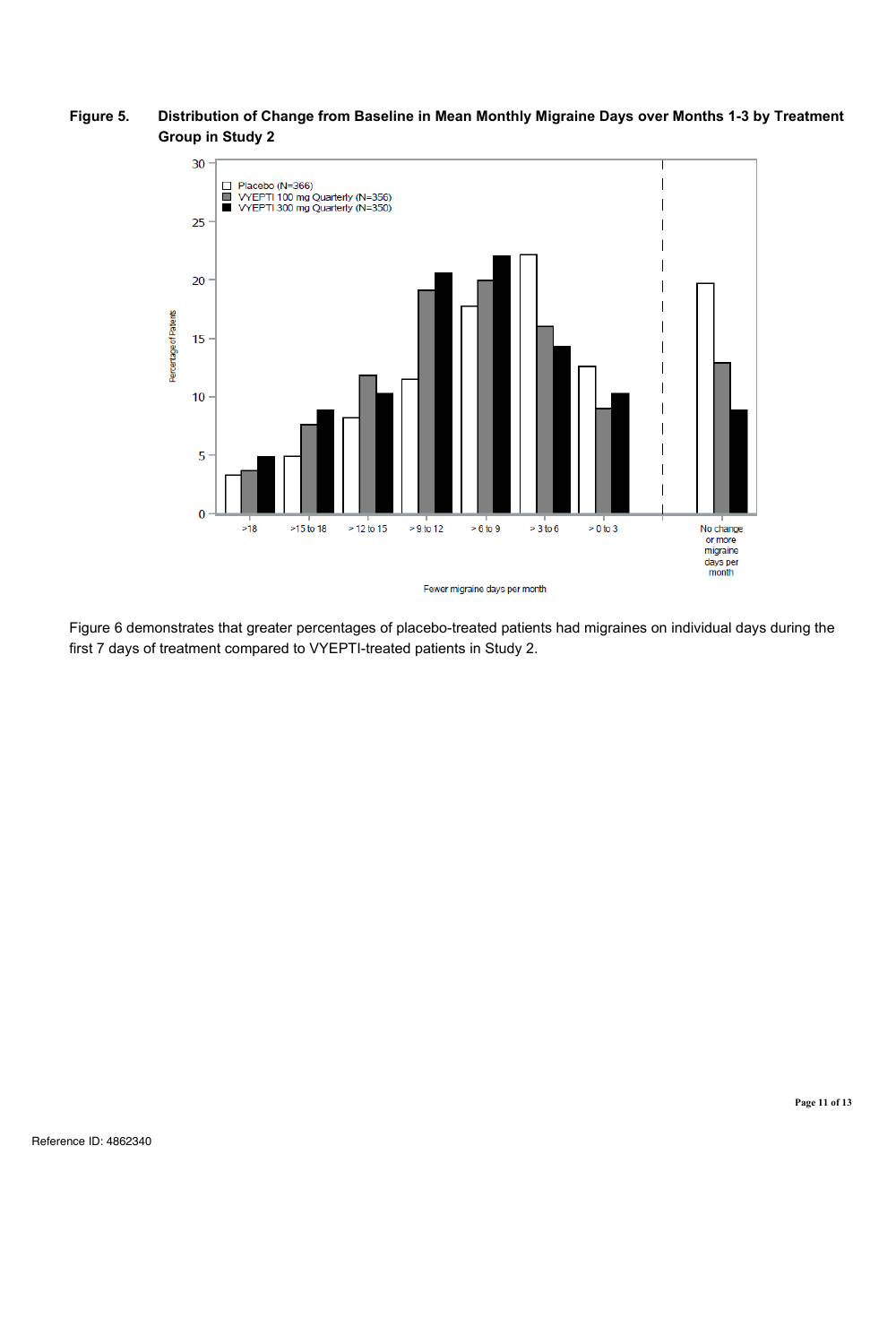#### **Figure 5. Distribution of Change from Baseline in Mean Monthly Migraine Days over Months 1-3 by Treatment Group in Study 2**



Figure 6 demonstrates that greater percentages of placebo-treated patients had migraines on individual days during the first 7 days of treatment compared to VYEPTI-treated patients in Study 2.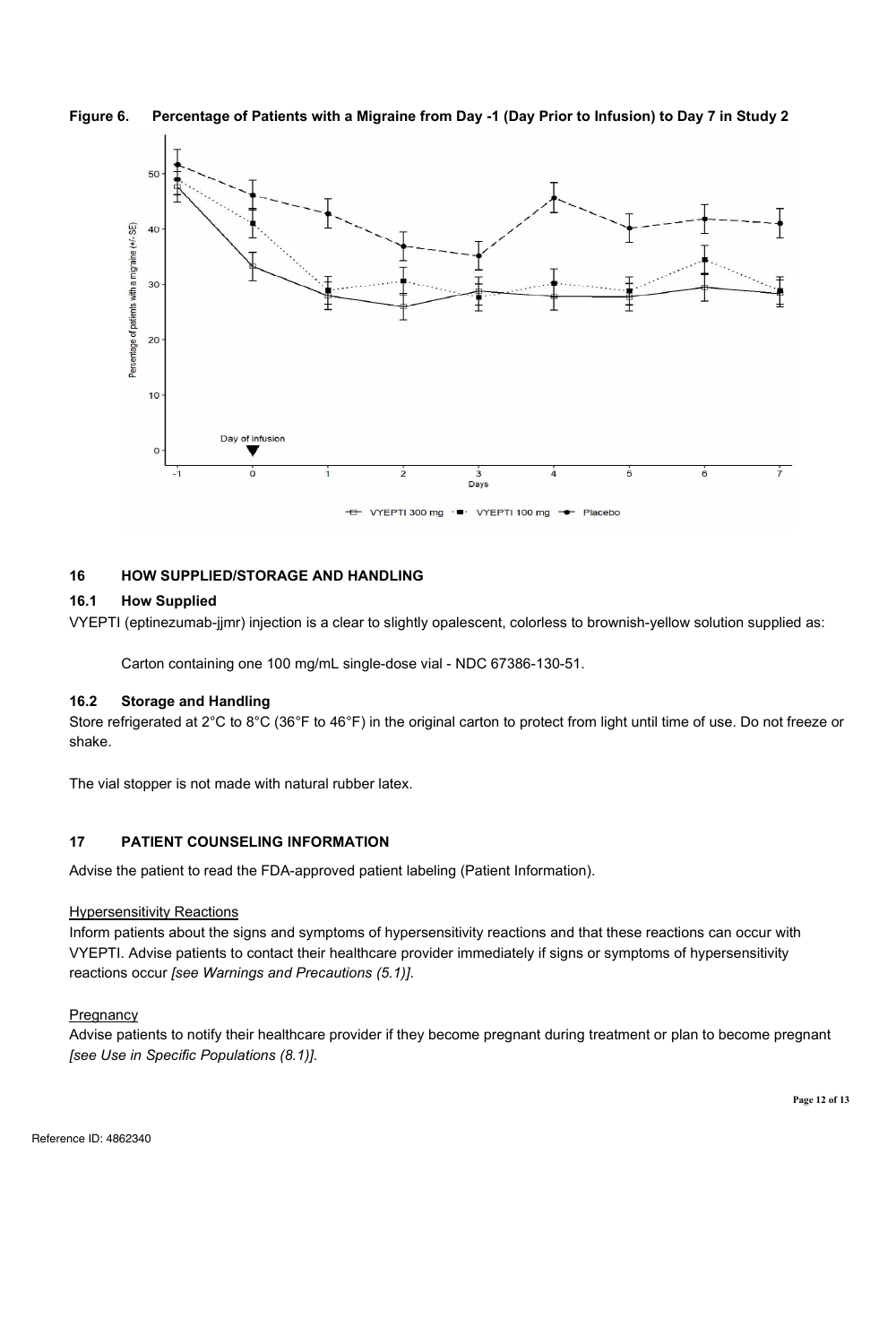#### **Figure 6. Percentage of Patients with a Migraine from Day -1 (Day Prior to Infusion) to Day 7 in Study 2**



#### **16 HOW SUPPLIED/STORAGE AND HANDLING**

#### **16.1 How Supplied**

VYEPTI (eptinezumab-jjmr) injection is a clear to slightly opalescent, colorless to brownish-yellow solution supplied as:

Carton containing one 100 mg/mL single-dose vial - NDC 67386-130-51.

#### **16.2 Storage and Handling**

Store refrigerated at 2°C to 8°C (36°F to 46°F) in the original carton to protect from light until time of use. Do not freeze or shake.

The vial stopper is not made with natural rubber latex.

#### **17 PATIENT COUNSELING INFORMATION**

Advise the patient to read the FDA-approved patient labeling (Patient Information).

#### Hypersensitivity Reactions

Inform patients about the signs and symptoms of hypersensitivity reactions and that these reactions can occur with VYEPTI. Advise patients to contact their healthcare provider immediately if signs or symptoms of hypersensitivity reactions occur *[see Warnings and Precautions (5.1)]*.

#### **Pregnancy**

Advise patients to notify their healthcare provider if they become pregnant during treatment or plan to become pregnant *[see Use in Specific Populations (8.1)]*.

**Page 12 of 13**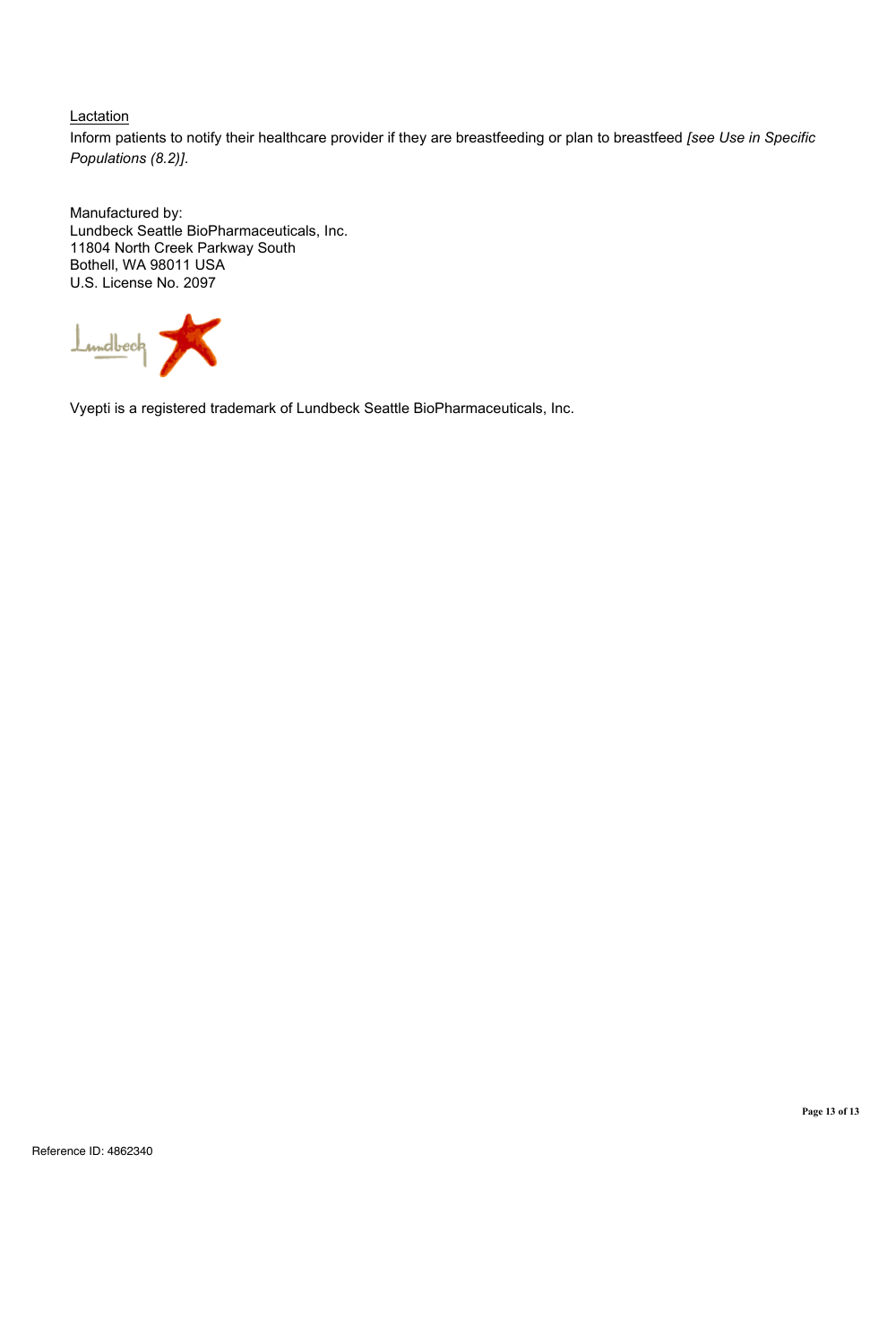### **Lactation**

Inform patients to notify their healthcare provider if they are breastfeeding or plan to breastfeed *[see Use in Specific Populations (8.2)]*.

Manufactured by: Lundbeck Seattle BioPharmaceuticals, Inc. 11804 North Creek Parkway South Bothell, WA 98011 USA U.S. License No. 2097



Vyepti is a registered trademark of Lundbeck Seattle BioPharmaceuticals, Inc.